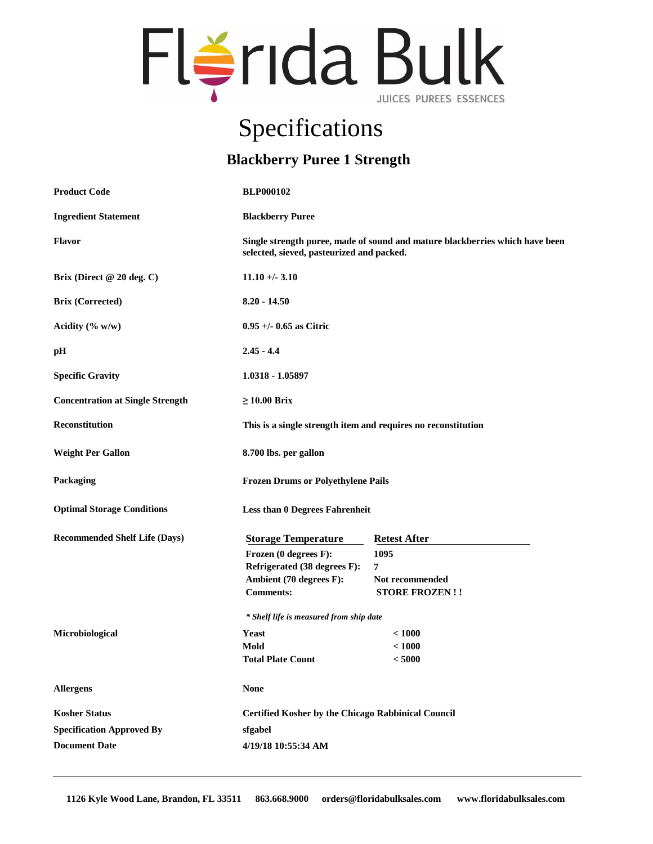

## Specifications

## **Blackberry Puree 1 Strength**

| <b>Product Code</b>                     | <b>BLP000102</b>                                                                                                          |                       |
|-----------------------------------------|---------------------------------------------------------------------------------------------------------------------------|-----------------------|
| <b>Ingredient Statement</b>             | <b>Blackberry Puree</b>                                                                                                   |                       |
| <b>Flavor</b>                           | Single strength puree, made of sound and mature blackberries which have been<br>selected, sieved, pasteurized and packed. |                       |
| Brix (Direct @ 20 deg. C)               | $11.10 + -3.10$                                                                                                           |                       |
| <b>Brix (Corrected)</b>                 | $8.20 - 14.50$                                                                                                            |                       |
| Acidity $(\% w/w)$                      | $0.95 +/- 0.65$ as Citric                                                                                                 |                       |
| pH                                      | $2.45 - 4.4$                                                                                                              |                       |
| <b>Specific Gravity</b>                 | 1.0318 - 1.05897                                                                                                          |                       |
| <b>Concentration at Single Strength</b> | $\geq 10.00$ Brix                                                                                                         |                       |
| <b>Reconstitution</b>                   | This is a single strength item and requires no reconstitution                                                             |                       |
| <b>Weight Per Gallon</b>                | 8.700 lbs. per gallon                                                                                                     |                       |
| Packaging                               | <b>Frozen Drums or Polyethylene Pails</b>                                                                                 |                       |
| <b>Optimal Storage Conditions</b>       | <b>Less than 0 Degrees Fahrenheit</b>                                                                                     |                       |
| <b>Recommended Shelf Life (Days)</b>    | <b>Storage Temperature</b>                                                                                                | <b>Retest After</b>   |
|                                         | Frozen (0 degrees F):                                                                                                     | 1095                  |
|                                         | Refrigerated (38 degrees F):                                                                                              | 7                     |
|                                         | Ambient (70 degrees F):                                                                                                   | Not recommended       |
|                                         | <b>Comments:</b>                                                                                                          | <b>STORE FROZEN!!</b> |
|                                         | * Shelf life is measured from ship date                                                                                   |                       |
| Microbiological                         | Yeast                                                                                                                     | < 1000                |
|                                         | Mold                                                                                                                      | < 1000                |
|                                         | <b>Total Plate Count</b>                                                                                                  | $<5000$               |
| <b>Allergens</b>                        | <b>None</b>                                                                                                               |                       |
| <b>Kosher Status</b>                    | <b>Certified Kosher by the Chicago Rabbinical Council</b>                                                                 |                       |
| <b>Specification Approved By</b>        | sfgabel                                                                                                                   |                       |
| <b>Document Date</b>                    | 4/19/18 10:55:34 AM                                                                                                       |                       |